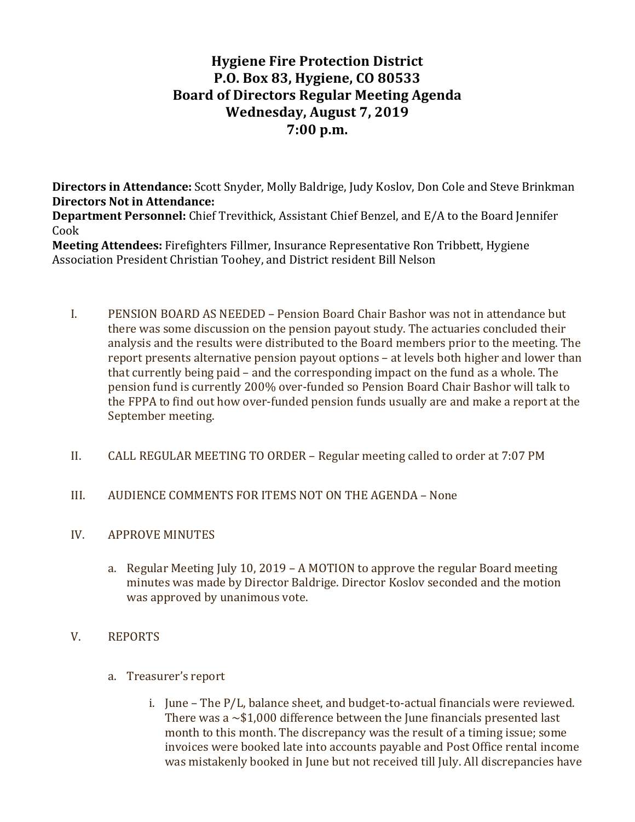# **Hygiene Fire Protection District P.O. Box 83, Hygiene, CO 80533 Board of Directors Regular Meeting Agenda Wednesday, August 7, 2019 7:00 p.m.**

**Directors in Attendance:** Scott Snyder, Molly Baldrige, Judy Koslov, Don Cole and Steve Brinkman **Directors Not in Attendance:** 

**Department Personnel:** Chief Trevithick, Assistant Chief Benzel, and E/A to the Board Jennifer Cook

**Meeting Attendees:** Firefighters Fillmer, Insurance Representative Ron Tribbett, Hygiene Association President Christian Toohey, and District resident Bill Nelson

- I. PENSION BOARD AS NEEDED Pension Board Chair Bashor was not in attendance but there was some discussion on the pension payout study. The actuaries concluded their analysis and the results were distributed to the Board members prior to the meeting. The report presents alternative pension payout options – at levels both higher and lower than that currently being paid  $-$  and the corresponding impact on the fund as a whole. The pension fund is currently 200% over-funded so Pension Board Chair Bashor will talk to the FPPA to find out how over-funded pension funds usually are and make a report at the September meeting.
- II. CALL REGULAR MEETING TO ORDER Regular meeting called to order at 7:07 PM
- III. AUDIENCE COMMENTS FOR ITEMS NOT ON THE AGENDA None
- IV. APPROVE MINUTES
	- a. Regular Meeting July 10, 2019 A MOTION to approve the regular Board meeting minutes was made by Director Baldrige. Director Koslov seconded and the motion was approved by unanimous vote.

## V. REPORTS

- a. Treasurer's report
	- i. June The  $P/L$ , balance sheet, and budget-to-actual financials were reviewed. There was a  $\sim$ \$1,000 difference between the June financials presented last month to this month. The discrepancy was the result of a timing issue; some invoices were booked late into accounts payable and Post Office rental income was mistakenly booked in June but not received till July. All discrepancies have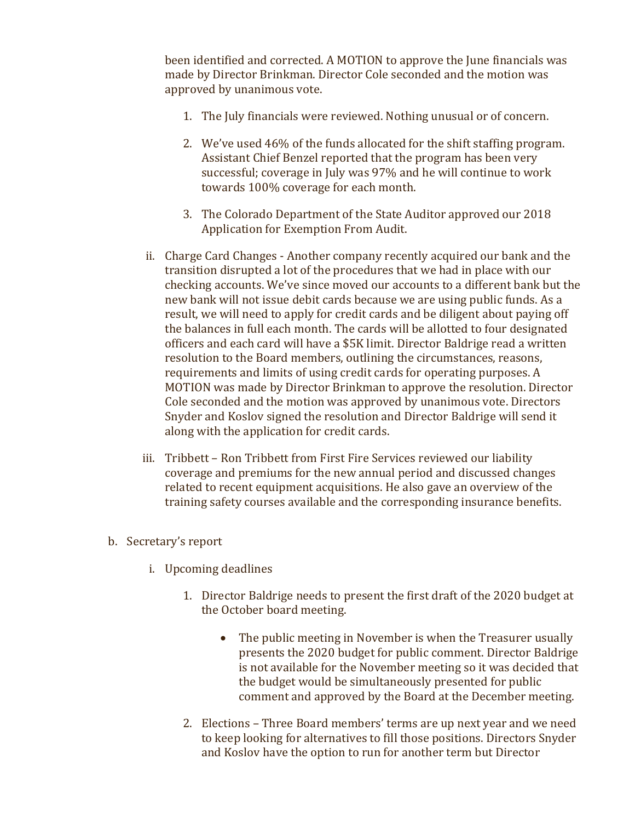been identified and corrected. A MOTION to approve the June financials was made by Director Brinkman. Director Cole seconded and the motion was approved by unanimous vote.

- 1. The July financials were reviewed. Nothing unusual or of concern.
- 2. We've used 46% of the funds allocated for the shift staffing program. Assistant Chief Benzel reported that the program has been very successful; coverage in July was 97% and he will continue to work towards 100% coverage for each month.
- 3. The Colorado Department of the State Auditor approved our 2018 Application for Exemption From Audit.
- ii. Charge Card Changes Another company recently acquired our bank and the transition disrupted a lot of the procedures that we had in place with our checking accounts. We've since moved our accounts to a different bank but the new bank will not issue debit cards because we are using public funds. As a result, we will need to apply for credit cards and be diligent about paying off the balances in full each month. The cards will be allotted to four designated officers and each card will have a \$5K limit. Director Baldrige read a written resolution to the Board members, outlining the circumstances, reasons, requirements and limits of using credit cards for operating purposes. A MOTION was made by Director Brinkman to approve the resolution. Director Cole seconded and the motion was approved by unanimous vote. Directors Snyder and Koslov signed the resolution and Director Baldrige will send it along with the application for credit cards.
- iii. Tribbett Ron Tribbett from First Fire Services reviewed our liability coverage and premiums for the new annual period and discussed changes related to recent equipment acquisitions. He also gave an overview of the training safety courses available and the corresponding insurance benefits.
- b. Secretary's report
	- i. Upcoming deadlines
		- 1. Director Baldrige needs to present the first draft of the 2020 budget at the October board meeting.
			- The public meeting in November is when the Treasurer usually presents the 2020 budget for public comment. Director Baldrige is not available for the November meeting so it was decided that the budget would be simultaneously presented for public comment and approved by the Board at the December meeting.
		- 2. Elections Three Board members' terms are up next year and we need to keep looking for alternatives to fill those positions. Directors Snyder and Koslov have the option to run for another term but Director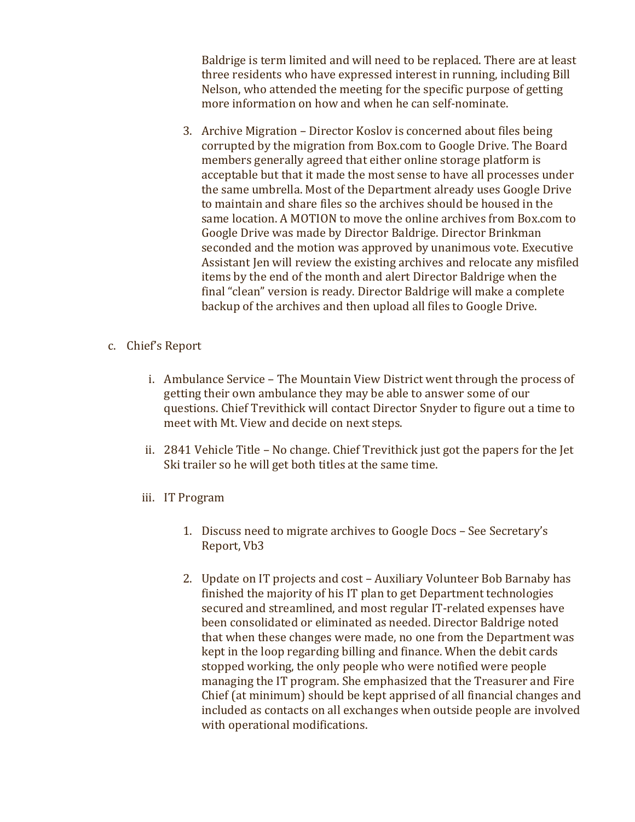Baldrige is term limited and will need to be replaced. There are at least three residents who have expressed interest in running, including Bill Nelson, who attended the meeting for the specific purpose of getting more information on how and when he can self-nominate.

- 3. Archive Migration Director Koslov is concerned about files being corrupted by the migration from Box.com to Google Drive. The Board members generally agreed that either online storage platform is acceptable but that it made the most sense to have all processes under the same umbrella. Most of the Department already uses Google Drive to maintain and share files so the archives should be housed in the same location. A MOTION to move the online archives from Box.com to Google Drive was made by Director Baldrige. Director Brinkman seconded and the motion was approved by unanimous vote. Executive Assistant Jen will review the existing archives and relocate any misfiled items by the end of the month and alert Director Baldrige when the final "clean" version is ready. Director Baldrige will make a complete backup of the archives and then upload all files to Google Drive.
- c. Chief's Report
	- i. Ambulance Service The Mountain View District went through the process of getting their own ambulance they may be able to answer some of our questions. Chief Trevithick will contact Director Snyder to figure out a time to meet with Mt. View and decide on next steps.
	- ii. 2841 Vehicle Title No change. Chief Trevithick just got the papers for the Jet Ski trailer so he will get both titles at the same time.
	- iii. IT Program
		- 1. Discuss need to migrate archives to Google Docs See Secretary's Report, Vb3
		- 2. Update on IT projects and cost Auxiliary Volunteer Bob Barnaby has finished the majority of his IT plan to get Department technologies secured and streamlined, and most regular IT-related expenses have been consolidated or eliminated as needed. Director Baldrige noted that when these changes were made, no one from the Department was kept in the loop regarding billing and finance. When the debit cards stopped working, the only people who were notified were people managing the IT program. She emphasized that the Treasurer and Fire Chief (at minimum) should be kept apprised of all financial changes and included as contacts on all exchanges when outside people are involved with operational modifications.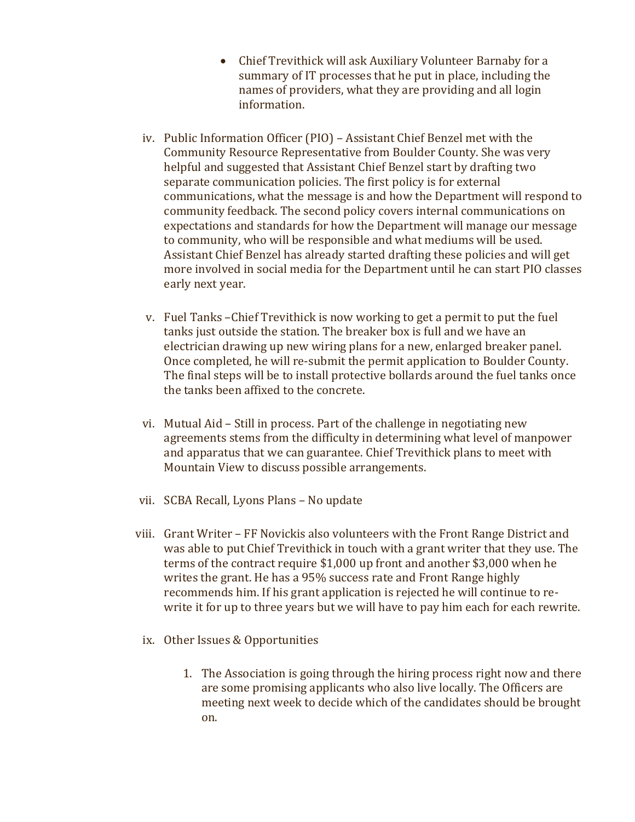- Chief Trevithick will ask Auxiliary Volunteer Barnaby for a summary of IT processes that he put in place, including the names of providers, what they are providing and all login information.
- iv. Public Information Officer (PIO) Assistant Chief Benzel met with the Community Resource Representative from Boulder County. She was very helpful and suggested that Assistant Chief Benzel start by drafting two separate communication policies. The first policy is for external communications, what the message is and how the Department will respond to community feedback. The second policy covers internal communications on expectations and standards for how the Department will manage our message to community, who will be responsible and what mediums will be used. Assistant Chief Benzel has already started drafting these policies and will get more involved in social media for the Department until he can start PIO classes early next year.
- v. Fuel Tanks Chief Trevithick is now working to get a permit to put the fuel tanks just outside the station. The breaker box is full and we have an electrician drawing up new wiring plans for a new, enlarged breaker panel. Once completed, he will re-submit the permit application to Boulder County. The final steps will be to install protective bollards around the fuel tanks once the tanks been affixed to the concrete.
- vi. Mutual Aid Still in process. Part of the challenge in negotiating new agreements stems from the difficulty in determining what level of manpower and apparatus that we can guarantee. Chief Trevithick plans to meet with Mountain View to discuss possible arrangements.
- vii. SCBA Recall, Lyons Plans No update
- viii. Grant Writer FF Novickis also volunteers with the Front Range District and was able to put Chief Trevithick in touch with a grant writer that they use. The terms of the contract require  $$1,000$  up front and another  $$3,000$  when he writes the grant. He has a 95% success rate and Front Range highly recommends him. If his grant application is rejected he will continue to rewrite it for up to three years but we will have to pay him each for each rewrite.
	- ix. Other Issues & Opportunities
		- 1. The Association is going through the hiring process right now and there are some promising applicants who also live locally. The Officers are meeting next week to decide which of the candidates should be brought on.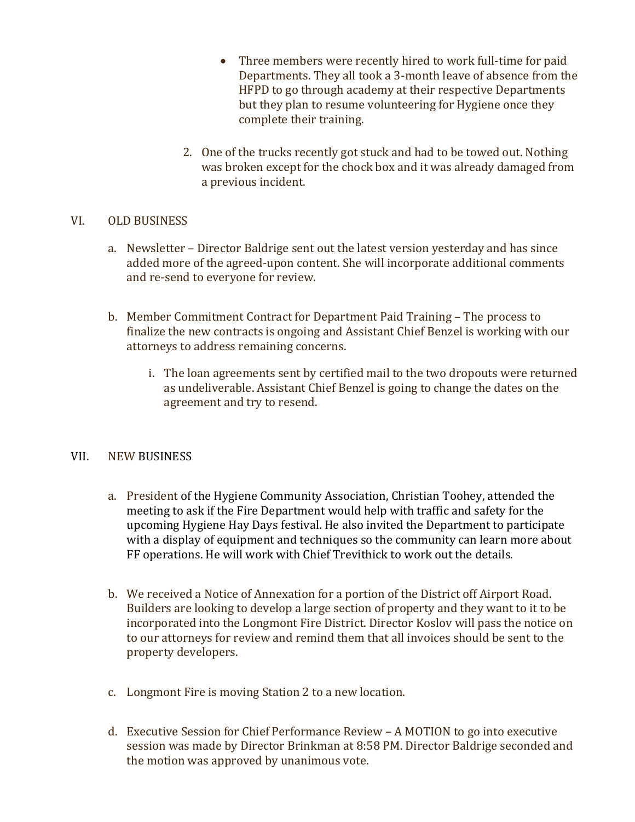- Three members were recently hired to work full-time for paid Departments. They all took a 3-month leave of absence from the HFPD to go through academy at their respective Departments but they plan to resume volunteering for Hygiene once they complete their training.
- 2. One of the trucks recently got stuck and had to be towed out. Nothing was broken except for the chock box and it was already damaged from a previous incident.

#### VI. OLD BUSINESS

- a. Newsletter Director Baldrige sent out the latest version yesterday and has since added more of the agreed-upon content. She will incorporate additional comments and re-send to everyone for review.
- b. Member Commitment Contract for Department Paid Training The process to finalize the new contracts is ongoing and Assistant Chief Benzel is working with our attorneys to address remaining concerns.
	- i. The loan agreements sent by certified mail to the two dropouts were returned as undeliverable. Assistant Chief Benzel is going to change the dates on the agreement and try to resend.

## VII. NEW BUSINESS

- a. President of the Hygiene Community Association, Christian Toohey, attended the meeting to ask if the Fire Department would help with traffic and safety for the upcoming Hygiene Hay Days festival. He also invited the Department to participate with a display of equipment and techniques so the community can learn more about FF operations. He will work with Chief Trevithick to work out the details.
- b. We received a Notice of Annexation for a portion of the District off Airport Road. Builders are looking to develop a large section of property and they want to it to be incorporated into the Longmont Fire District. Director Koslov will pass the notice on to our attorneys for review and remind them that all invoices should be sent to the property developers.
- c. Longmont Fire is moving Station  $2$  to a new location.
- d. Executive Session for Chief Performance Review A MOTION to go into executive session was made by Director Brinkman at 8:58 PM. Director Baldrige seconded and the motion was approved by unanimous vote.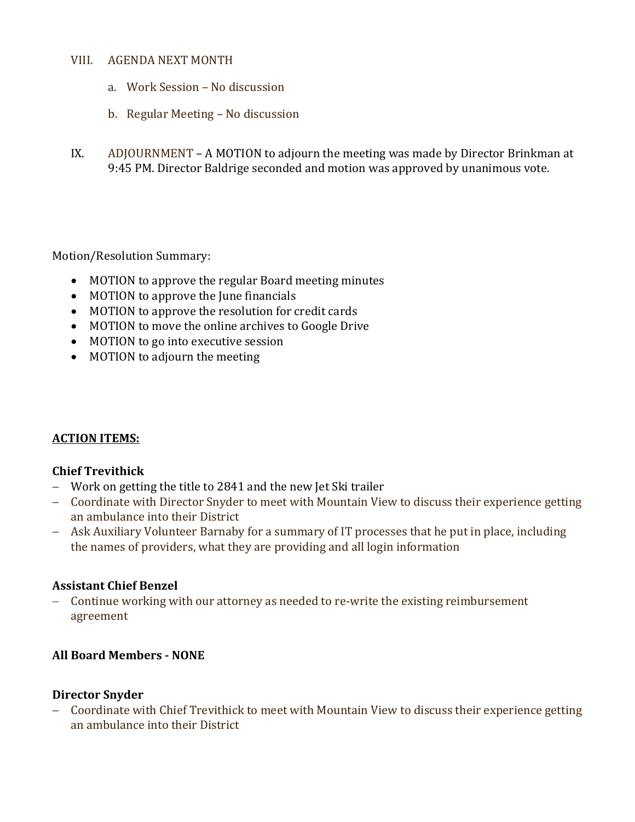#### VIII. AGENDA NEXT MONTH

- a. Work Session No discussion
- b. Regular Meeting No discussion
- IX. ADJOURNMENT A MOTION to adjourn the meeting was made by Director Brinkman at 9:45 PM. Director Baldrige seconded and motion was approved by unanimous vote.

## Motion/Resolution Summary:

- MOTION to approve the regular Board meeting minutes
- MOTION to approve the June financials
- MOTION to approve the resolution for credit cards
- MOTION to move the online archives to Google Drive
- MOTION to go into executive session
- MOTION to adjourn the meeting

## **ACTION ITEMS:**

## **Chief Trevithick**

- Work on getting the title to 2841 and the new Jet Ski trailer
- Coordinate with Director Snyder to meet with Mountain View to discuss their experience getting an ambulance into their District
- Ask Auxiliary Volunteer Barnaby for a summary of IT processes that he put in place, including the names of providers, what they are providing and all login information

## **Assistant Chief Benzel**

- Continue working with our attorney as needed to re-write the existing reimbursement agreement

## **All Board Members - NONE**

#### **Director Snyder**

- Coordinate with Chief Trevithick to meet with Mountain View to discuss their experience getting an ambulance into their District